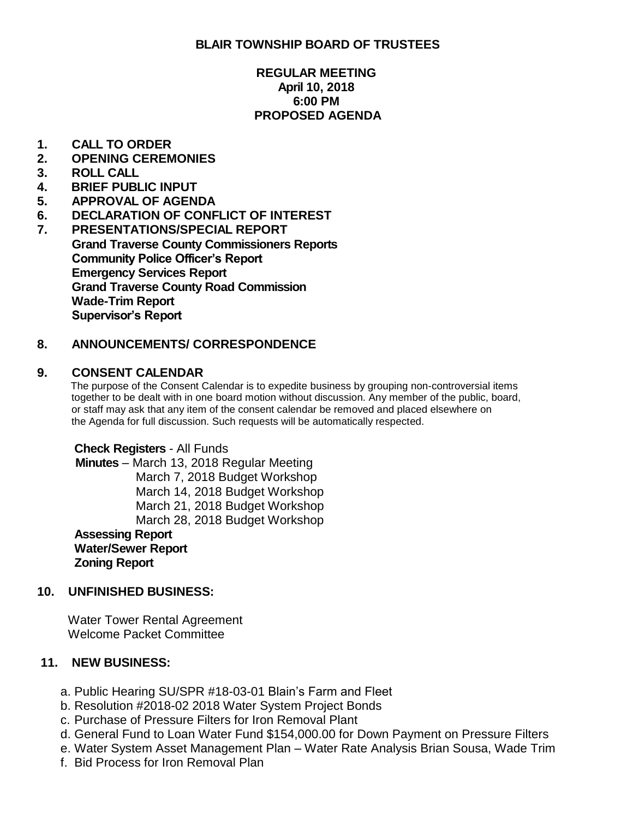# **BLAIR TOWNSHIP BOARD OF TRUSTEES**

## **REGULAR MEETING April 10, 2018 6:00 PM PROPOSED AGENDA**

## **1. CALL TO ORDER**

- **2. OPENING CEREMONIES**
- **3. ROLL CALL**
- **4. BRIEF PUBLIC INPUT**
- **5. APPROVAL OF AGENDA**
- **6. DECLARATION OF CONFLICT OF INTEREST**
- **7. PRESENTATIONS/SPECIAL REPORT Grand Traverse County Commissioners Reports Community Police Officer's Report Emergency Services Report Grand Traverse County Road Commission Wade-Trim Report Supervisor's Report**

# **8. ANNOUNCEMENTS/ CORRESPONDENCE**

#### **9. CONSENT CALENDAR**

 The purpose of the Consent Calendar is to expedite business by grouping non-controversial items together to be dealt with in one board motion without discussion. Any member of the public, board, or staff may ask that any item of the consent calendar be removed and placed elsewhere on the Agenda for full discussion. Such requests will be automatically respected.

 **Check Registers** - All Funds **Minutes** – March 13, 2018 Regular Meeting March 7, 2018 Budget Workshop March 14, 2018 Budget Workshop March 21, 2018 Budget Workshop March 28, 2018 Budget Workshop **Assessing Report Water/Sewer Report Zoning Report**

## **10. UNFINISHED BUSINESS:**

 Water Tower Rental Agreement Welcome Packet Committee

## **11. NEW BUSINESS:**

- a. Public Hearing SU/SPR #18-03-01 Blain's Farm and Fleet
- b. Resolution #2018-02 2018 Water System Project Bonds
- c. Purchase of Pressure Filters for Iron Removal Plant
- d. General Fund to Loan Water Fund \$154,000.00 for Down Payment on Pressure Filters
- e. Water System Asset Management Plan Water Rate Analysis Brian Sousa, Wade Trim
- f. Bid Process for Iron Removal Plan